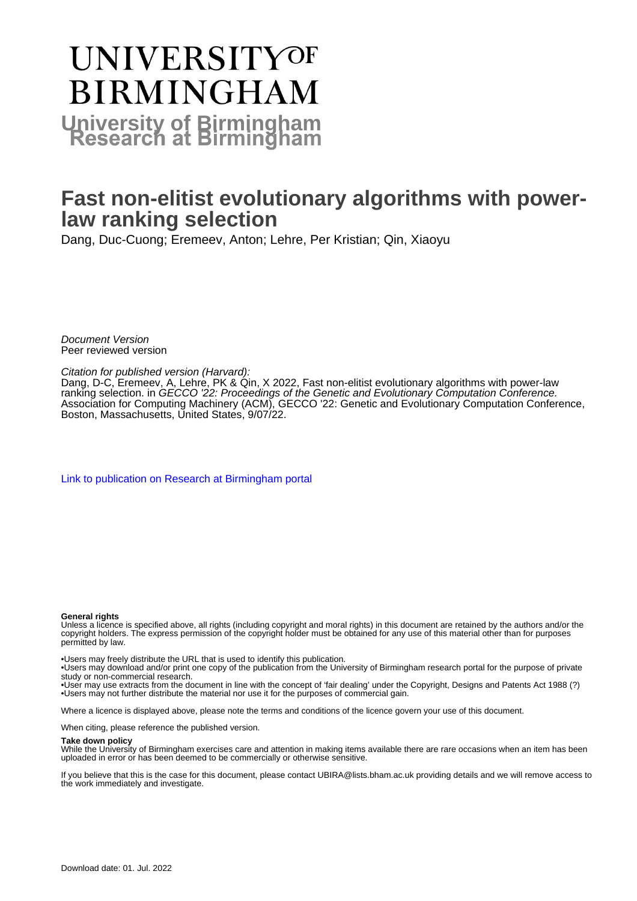# **UNIVERSITYOF BIRMINGHAM University of Birmingham**

# **Fast non-elitist evolutionary algorithms with powerlaw ranking selection**

Dang, Duc-Cuong; Eremeev, Anton; Lehre, Per Kristian; Qin, Xiaoyu

Document Version Peer reviewed version

## Citation for published version (Harvard):

Dang, D-C, Eremeev, A, Lehre, PK & Qin, X 2022, Fast non-elitist evolutionary algorithms with power-law ranking selection. in GECCO '22: Proceedings of the Genetic and Evolutionary Computation Conference. Association for Computing Machinery (ACM), GECCO '22: Genetic and Evolutionary Computation Conference, Boston, Massachusetts, United States, 9/07/22.

[Link to publication on Research at Birmingham portal](https://birmingham.elsevierpure.com/en/publications/7cbd6f27-e012-41ef-bd7e-201e7e6fbbf3)

#### **General rights**

Unless a licence is specified above, all rights (including copyright and moral rights) in this document are retained by the authors and/or the copyright holders. The express permission of the copyright holder must be obtained for any use of this material other than for purposes permitted by law.

• Users may freely distribute the URL that is used to identify this publication.

• Users may download and/or print one copy of the publication from the University of Birmingham research portal for the purpose of private study or non-commercial research.

• User may use extracts from the document in line with the concept of 'fair dealing' under the Copyright, Designs and Patents Act 1988 (?) • Users may not further distribute the material nor use it for the purposes of commercial gain.

Where a licence is displayed above, please note the terms and conditions of the licence govern your use of this document.

When citing, please reference the published version.

#### **Take down policy**

While the University of Birmingham exercises care and attention in making items available there are rare occasions when an item has been uploaded in error or has been deemed to be commercially or otherwise sensitive.

If you believe that this is the case for this document, please contact UBIRA@lists.bham.ac.uk providing details and we will remove access to the work immediately and investigate.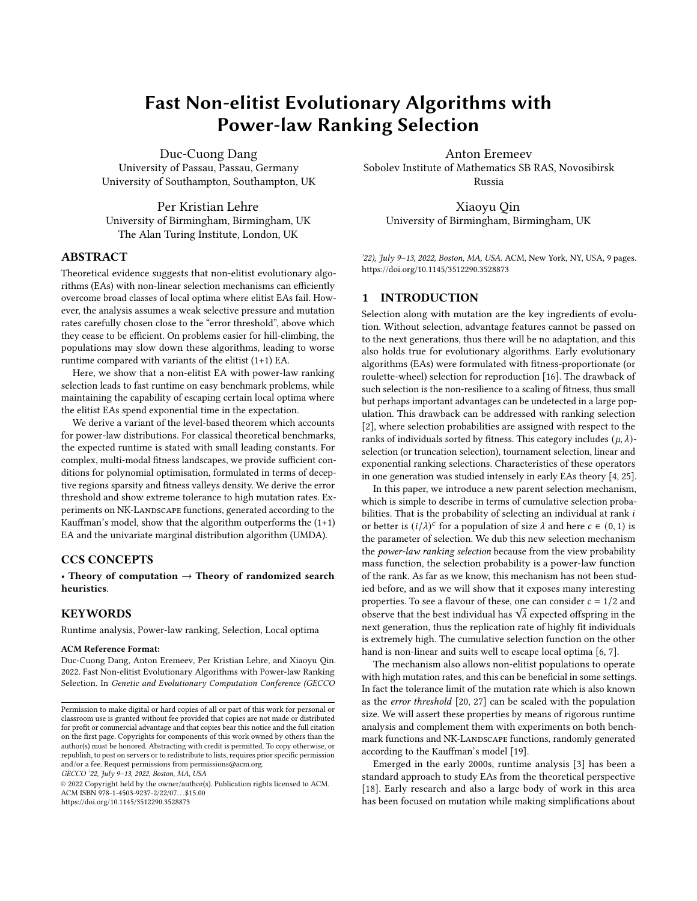# Fast Non-elitist Evolutionary Algorithms with Power-law Ranking Selection

Duc-Cuong Dang University of Passau, Passau, Germany University of Southampton, Southampton, UK

Per Kristian Lehre University of Birmingham, Birmingham, UK The Alan Turing Institute, London, UK

# ABSTRACT

Theoretical evidence suggests that non-elitist evolutionary algorithms (EAs) with non-linear selection mechanisms can efficiently overcome broad classes of local optima where elitist EAs fail. However, the analysis assumes a weak selective pressure and mutation rates carefully chosen close to the "error threshold", above which they cease to be efficient. On problems easier for hill-climbing, the populations may slow down these algorithms, leading to worse runtime compared with variants of the elitist (1+1) EA.

Here, we show that a non-elitist EA with power-law ranking selection leads to fast runtime on easy benchmark problems, while maintaining the capability of escaping certain local optima where the elitist EAs spend exponential time in the expectation.

We derive a variant of the level-based theorem which accounts for power-law distributions. For classical theoretical benchmarks, the expected runtime is stated with small leading constants. For complex, multi-modal fitness landscapes, we provide sufficient conditions for polynomial optimisation, formulated in terms of deceptive regions sparsity and fitness valleys density. We derive the error threshold and show extreme tolerance to high mutation rates. Experiments on NK-LANDSCAPE functions, generated according to the Kauffman's model, show that the algorithm outperforms the (1+1) EA and the univariate marginal distribution algorithm (UMDA).

# CCS CONCEPTS

• Theory of computation  $\rightarrow$  Theory of randomized search heuristics.

# **KEYWORDS**

Runtime analysis, Power-law ranking, Selection, Local optima

#### ACM Reference Format:

Duc-Cuong Dang, Anton Eremeev, Per Kristian Lehre, and Xiaoyu Qin. 2022. Fast Non-elitist Evolutionary Algorithms with Power-law Ranking Selection. In Genetic and Evolutionary Computation Conference (GECCO

GECCO '22, July 9–13, 2022, Boston, MA, USA

© 2022 Copyright held by the owner/author(s). Publication rights licensed to ACM. ACM ISBN 978-1-4503-9237-2/22/07. . . \$15.00 <https://doi.org/10.1145/3512290.3528873>

Anton Eremeev Sobolev Institute of Mathematics SB RAS, Novosibirsk Russia

Xiaoyu Qin University of Birmingham, Birmingham, UK

'22), July [9](#page-9-0)-13, 2022, Boston, MA, USA. ACM, New York, NY, USA, 9 pages. <https://doi.org/10.1145/3512290.3528873>

# 1 INTRODUCTION

Selection along with mutation are the key ingredients of evolution. Without selection, advantage features cannot be passed on to the next generations, thus there will be no adaptation, and this also holds true for evolutionary algorithms. Early evolutionary algorithms (EAs) were formulated with fitness-proportionate (or roulette-wheel) selection for reproduction [\[16\]](#page-9-1). The drawback of such selection is the non-resilience to a scaling of fitness, thus small but perhaps important advantages can be undetected in a large population. This drawback can be addressed with ranking selection [\[2\]](#page-9-2), where selection probabilities are assigned with respect to the ranks of individuals sorted by fitness. This category includes  $(\mu, \lambda)$ selection (or truncation selection), tournament selection, linear and exponential ranking selections. Characteristics of these operators in one generation was studied intensely in early EAs theory [\[4,](#page-9-3) [25\]](#page-9-4).

In this paper, we introduce a new parent selection mechanism, which is simple to describe in terms of cumulative selection probabilities. That is the probability of selecting an individual at rank  $i$ or better is  $(i/\lambda)^c$  for a population of size  $\lambda$  and here  $c \in (0,1)$  is the parameter of selection. We dub this new selection mechanism the power-law ranking selection because from the view probability mass function, the selection probability is a power-law function of the rank. As far as we know, this mechanism has not been studied before, and as we will show that it exposes many interesting properties. To see a flavour of these, one can consider  $c = 1/2$  and properties. To see a navour of these, one can consider  $c = 1/2$  and<br>observe that the best individual has  $\sqrt{\lambda}$  expected offspring in the next generation, thus the replication rate of highly fit individuals is extremely high. The cumulative selection function on the other hand is non-linear and suits well to escape local optima [\[6,](#page-9-5) [7\]](#page-9-6).

The mechanism also allows non-elitist populations to operate with high mutation rates, and this can be beneficial in some settings. In fact the tolerance limit of the mutation rate which is also known as the error threshold [\[20,](#page-9-7) [27\]](#page-9-8) can be scaled with the population size. We will assert these properties by means of rigorous runtime analysis and complement them with experiments on both benchmark functions and NK-LANDSCAPE functions, randomly generated according to the Kauffman's model [\[19\]](#page-9-9).

Emerged in the early 2000s, runtime analysis [\[3\]](#page-9-10) has been a standard approach to study EAs from the theoretical perspective [\[18\]](#page-9-11). Early research and also a large body of work in this area has been focused on mutation while making simplifications about

Permission to make digital or hard copies of all or part of this work for personal or classroom use is granted without fee provided that copies are not made or distributed for profit or commercial advantage and that copies bear this notice and the full citation on the first page. Copyrights for components of this work owned by others than the author(s) must be honored. Abstracting with credit is permitted. To copy otherwise, or republish, to post on servers or to redistribute to lists, requires prior specific permission and/or a fee. Request permissions from permissions@acm.org.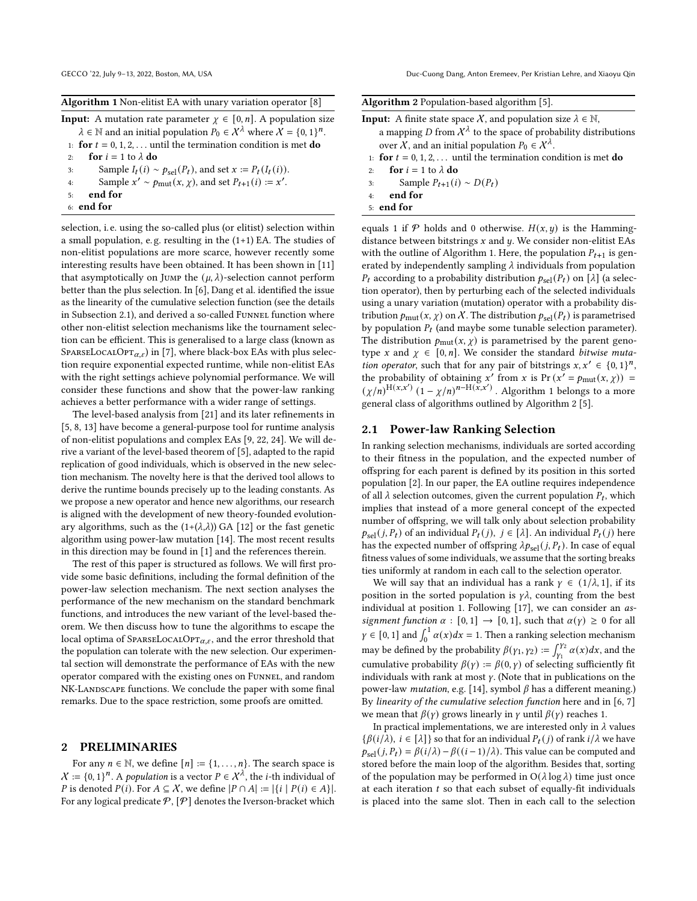| Algorithm 1 Non-elitist EA with unary variation operator [8] |  |
|--------------------------------------------------------------|--|
|--------------------------------------------------------------|--|

**Input:** A mutation rate parameter  $\chi \in [0, n]$ . A population size  $\lambda \in \mathbb{N}$  and an initial population  $P_0 \in \mathcal{X}^{\lambda}$  where  $\lambda = \{0, 1\}^n$ . 1: **for**  $t = 0, 1, 2, \ldots$  until the termination condition is met **do** 2: **for**  $i = 1$  to  $\lambda$  **do** 

- 3: Sample  $I_t(i) \sim p_{\text{sel}}(P_t)$ , and set  $x := P_t(I_t(i))$ .
- 4: Sample  $x' \sim p_{\text{mut}}(x, \chi)$ , and set  $P_{t+1}(i) := x'$ .
- 5: end for
- <span id="page-2-1"></span>6: end for

selection, i. e. using the so-called plus (or elitist) selection within a small population, e.g. resulting in the  $(1+1)$  EA. The studies of non-elitist populations are more scarce, however recently some interesting results have been obtained. It has been shown in [\[11\]](#page-9-13) that asymptotically on JUMP the  $(\mu, \lambda)$ -selection cannot perform better than the plus selection. In [\[6\]](#page-9-5), [Dang et al.](#page-9-5) identified the issue as the linearity of the cumulative selection function (see the details in Subsection [2.1\)](#page-2-0), and derived a so-called FUNNEL function where other non-elitist selection mechanisms like the tournament selection can be efficient. This is generalised to a large class (known as SPARSELOCALOPT<sub> $\alpha$ e</sub>) in [\[7\]](#page-9-6), where black-box EAs with plus selection require exponential expected runtime, while non-elitist EAs with the right settings achieve polynomial performance. We will consider these functions and show that the power-law ranking achieves a better performance with a wider range of settings.

The level-based analysis from [\[21\]](#page-9-14) and its later refinements in [\[5,](#page-9-15) [8,](#page-9-12) [13\]](#page-9-16) have become a general-purpose tool for runtime analysis of non-elitist populations and complex EAs [\[9,](#page-9-17) [22,](#page-9-18) [24\]](#page-9-19). We will derive a variant of the level-based theorem of [\[5\]](#page-9-15), adapted to the rapid replication of good individuals, which is observed in the new selection mechanism. The novelty here is that the derived tool allows to derive the runtime bounds precisely up to the leading constants. As we propose a new operator and hence new algorithms, our research is aligned with the development of new theory-founded evolutionary algorithms, such as the  $(1+(\lambda,\lambda))$  GA [\[12\]](#page-9-20) or the fast genetic algorithm using power-law mutation [\[14\]](#page-9-21). The most recent results in this direction may be found in [\[1\]](#page-9-22) and the references therein.

The rest of this paper is structured as follows. We will first provide some basic definitions, including the formal definition of the power-law selection mechanism. The next section analyses the performance of the new mechanism on the standard benchmark functions, and introduces the new variant of the level-based theorem. We then discuss how to tune the algorithms to escape the local optima of SPARSELOCALOPT $_{\alpha,\varepsilon}$ , and the error threshold that the population can tolerate with the new selection. Our experimental section will demonstrate the performance of EAs with the new operator compared with the existing ones on Funnel, and random NK-Landscape functions. We conclude the paper with some final remarks. Due to the space restriction, some proofs are omitted.

#### 2 PRELIMINARIES

For any  $n \in \mathbb{N}$ , we define  $[n] := \{1, \ldots, n\}$ . The search space is  $X = \{0, 1\}^n$ . A population is a vector  $P \in X^{\lambda}$ , the *i*-th individual of *P* is denoted  $P(i)$ . For  $A \subseteq \mathcal{X}$ , we define  $|P \cap A| := |\{i \mid P(i) \in A\}|$ . For any logical predicate  $P$ ,  $[P]$  denotes the Iverson-bracket which

<span id="page-2-2"></span>

|  |  |  | Algorithm 2 Population-based algorithm [5]. |  |  |
|--|--|--|---------------------------------------------|--|--|
|--|--|--|---------------------------------------------|--|--|

| <b>Input:</b> A finite state space X, and population size $\lambda \in \mathbb{N}$ , |
|--------------------------------------------------------------------------------------|
| a mapping D from $\mathcal{X}^{\lambda}$ to the space of probability distributions   |
| over X, and an initial population $P_0 \in \mathcal{X}^{\lambda}$ .                  |
| 1: for $t = 0, 1, 2, \ldots$ until the termination condition is met <b>do</b>        |
| for $i = 1$ to $\lambda$ do<br>2:                                                    |
| Sample $P_{t+1}(i) \sim D(P_t)$<br>3:                                                |
| end for<br>4:                                                                        |
| $5:$ end for                                                                         |
|                                                                                      |

equals 1 if  $\mathcal P$  holds and 0 otherwise.  $H(x, y)$  is the Hammingdistance between bitstrings  $x$  and  $y$ . We consider non-elitist EAs with the outline of Algorithm [1.](#page-2-1) Here, the population  $P_{t+1}$  is generated by independently sampling  $\lambda$  individuals from population  $P_t$  according to a probability distribution  $p_{\text{sel}}(P_t)$  on [ $\lambda$ ] (a selection operator), then by perturbing each of the selected individuals using a unary variation (mutation) operator with a probability distribution  $p_{\text{mut}}(x, \chi)$  on  $\chi$ . The distribution  $p_{\text{sel}}(P_t)$  is parametrised by population  $P_t$  (and maybe some tunable selection parameter). The distribution  $p_{\text{mut}}(x, \chi)$  is parametrised by the parent genotype x and  $\gamma \in [0, n]$ . We consider the standard bitwise muta*tion operator*, such that for any pair of bitstrings  $x, x' \in \{0, 1\}^n$ , the probability of obtaining x' from x is Pr  $(x' = p_{\text{mut}}(x, \chi))$  =  $(\chi/n)^{H(x,x')}$   $(1-\chi/n)^{n-H(x,x')}$ . Algorithm [1](#page-2-1) belongs to a more general class of algorithms outlined by Algorithm [2](#page-2-2) [\[5\]](#page-9-15).

#### <span id="page-2-0"></span>2.1 Power-law Ranking Selection

In ranking selection mechanisms, individuals are sorted according to their fitness in the population, and the expected number of offspring for each parent is defined by its position in this sorted population [\[2\]](#page-9-2). In our paper, the EA outline requires independence of all  $\lambda$  selection outcomes, given the current population  $P_t$ , which implies that instead of a more general concept of the expected number of offspring, we will talk only about selection probability  $p_{\text{sel}}(j, P_t)$  of an individual  $P_t(j)$ ,  $j \in [\lambda]$ . An individual  $P_t(j)$  here has the expected number of offspring  $\lambda p_{\text{sel}}(j, P_t)$ . In case of equal fitness values of some individuals, we assume that the sorting breaks ties uniformly at random in each call to the selection operator.

We will say that an individual has a rank  $\gamma \in (1/\lambda, 1]$ , if its position in the sorted population is  $\gamma \lambda$ , counting from the best individual at position 1. Following [\[17\]](#page-9-23), we can consider an assignment function  $\alpha : [0, 1] \rightarrow [0, 1]$ , such that  $\alpha(\gamma) \ge 0$  for all  $\gamma \in [0, 1]$  and  $\int_0^1 \alpha(x) dx = 1$ . Then a ranking selection mechanism may be defined by the probability  $\beta(\gamma_1, \gamma_2) := \int_{\gamma_1}^{\gamma_2} \alpha(x) dx$ , and the cumulative probability  $\beta(y) := \beta(0, y)$  of selecting sufficiently fit individuals with rank at most  $\gamma$ . (Note that in publications on the power-law *mutation*, e.g. [\[14\]](#page-9-21), symbol  $\beta$  has a different meaning.) By linearity of the cumulative selection function here and in [\[6,](#page-9-5) [7\]](#page-9-6) we mean that  $\beta(y)$  grows linearly in  $\gamma$  until  $\beta(\gamma)$  reaches 1.

In practical implementations, we are interested only in  $\lambda$  values  $\{\beta(i/\lambda), i \in [\lambda]\}$  so that for an individual  $P_t(j)$  of rank  $i/\lambda$  we have  $p_{\text{sel}}(j, P_t) = \beta(i/\lambda) - \beta((i-1)/\lambda)$ . This value can be computed and stored before the main loop of the algorithm. Besides that, sorting of the population may be performed in  $O(\lambda \log \lambda)$  time just once at each iteration  $t$  so that each subset of equally-fit individuals is placed into the same slot. Then in each call to the selection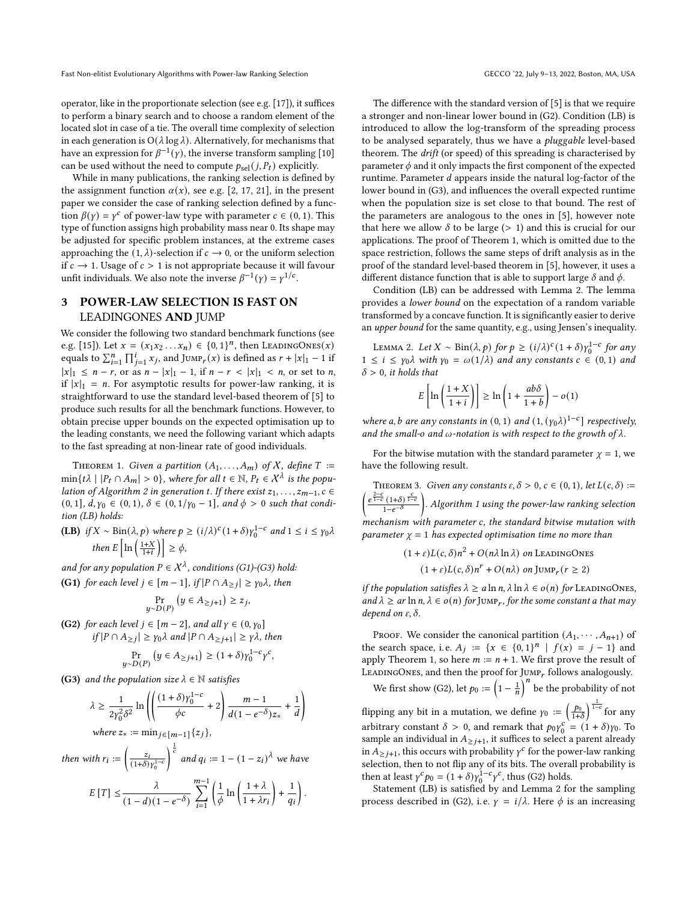operator, like in the proportionate selection (see e.g. [\[17\]](#page-9-23)), it suffices to perform a binary search and to choose a random element of the located slot in case of a tie. The overall time complexity of selection in each generation is  $O(\lambda \log \lambda)$ . Alternatively, for mechanisms that have an expression for  $\beta^{-1}(y)$ , the inverse transform sampling [\[10\]](#page-9-24) can be used without the need to compute  $p_{\text{sel}}(j, P_t)$  explicitly.

While in many publications, the ranking selection is defined by the assignment function  $\alpha(x)$ , see e.g. [\[2,](#page-9-2) [17,](#page-9-23) [21\]](#page-9-14), in the present paper we consider the case of ranking selection defined by a function  $\beta(y) = y^c$  of power-law type with parameter  $c \in (0, 1)$ . This type of function assigns high probability mass near 0. Its shape may be adjusted for specific problem instances, at the extreme cases approaching the  $(1, \lambda)$ -selection if  $c \to 0$ , or the uniform selection if  $c \rightarrow 1$ . Usage of  $c > 1$  is not appropriate because it will favour unfit individuals. We also note the inverse  $\beta^{-1}(y) = y^{1/c}$ .

# 3 POWER-LAW SELECTION IS FAST ON LEADINGONES AND JUMP

We consider the following two standard benchmark functions (see e.g. [\[15\]](#page-9-25)). Let  $x = (x_1 x_2 ... x_n) \in \{0, 1\}^n$ , then LEADINGONES(x) equals to  $\sum_{i=1}^{n} \prod_{j=1}^{i} x_j$ , and Jump<sub>r</sub>(x) is defined as  $r + |x|_1 - 1$  if  $|x|_1 \leq n-r$ , or as  $n-|x|_1-1$ , if  $n-r < |x|_1 < n$ , or set to n, if  $|x|_1 = n$ . For asymptotic results for power-law ranking, it is straightforward to use the standard level-based theorem of [\[5\]](#page-9-15) to produce such results for all the benchmark functions. However, to obtain precise upper bounds on the expected optimisation up to the leading constants, we need the following variant which adapts to the fast spreading at non-linear rate of good individuals.

<span id="page-3-0"></span>THEOREM 1. Given a partition  $(A_1, \ldots, A_m)$  of X, define  $T :=$  $\min\{t\lambda \mid |P_t \cap A_m| > 0\}$ , where for all  $t \in \mathbb{N}$ ,  $P_t \in \mathcal{X}^{\lambda}$  is the popu-lation of Algorithm [2](#page-2-2) in generation t. If there exist  $z_1, \ldots, z_{m-1}, c \in$  $(0, 1], d, \gamma_0 \in (0, 1), \delta \in (0, 1/\gamma_0 - 1],$  and  $\phi > 0$  such that condition (LB) holds:

**(LB)** if  $X \sim \text{Bin}(\lambda, p)$  where  $p \ge (i/\lambda)^c (1+\delta) \gamma_0^{1-c}$  and  $1 \le i \le \gamma_0 \lambda$ then  $E\left[\ln\left(\frac{1+X}{1+i}\right)\right] \geq \phi$ ,

and for any population  $P \in X^{\lambda}$ , conditions (G1)-(G3) hold: **(G1)** for each level  $j \in [m-1]$ , if  $|P \cap A_{\geq j}| \geq \gamma_0 \lambda$ , then

$$
\Pr_{y \sim D(P)} (y \in A_{\geq j+1}) \geq z_j,
$$

(G2) for each level  $j \in [m-2]$ , and all  $\gamma \in (0, \gamma_0]$ if  $|P \cap A_{\ge j}|$  ≥  $\gamma_0 \lambda$  and  $|P \cap A_{\ge j+1}|$  ≥  $\gamma \lambda$ , then

$$
\Pr_{y \sim D(P)} (y \in A_{\ge j+1}) \ge (1+\delta) \gamma_0^{1-c} \gamma^c,
$$

(G3) and the population size  $\lambda \in \mathbb{N}$  satisfies

$$
\lambda \ge \frac{1}{2\gamma_0^2 \delta^2} \ln \left( \left( \frac{(1+\delta)\gamma_0^{1-c}}{\phi c} + 2 \right) \frac{m-1}{d(1-e^{-\delta})z_*} + \frac{1}{d} \right)
$$
  
where  $z_* := \min_{j \in [m-1]} \{z_j\},$ 

then with  $r_i := \left(\frac{z_i}{(1+\delta)}\right)$  $\sqrt{(1+\delta)\gamma_0^{1-\epsilon}}$  $\int_{c}^{\frac{1}{c}}$  and  $q_i := 1 - (1 - z_i)^{\lambda}$  we have

$$
E[T] \leq \frac{\lambda}{(1-d)(1-e^{-\delta})} \sum_{i=1}^{m-1} \left( \frac{1}{\phi} \ln \left( \frac{1+\lambda}{1+\lambda r_i} \right) + \frac{1}{q_i} \right).
$$

The difference with the standard version of [\[5\]](#page-9-15) is that we require a stronger and non-linear lower bound in (G2). Condition (LB) is introduced to allow the log-transform of the spreading process to be analysed separately, thus we have a pluggable level-based theorem. The drift (or speed) of this spreading is characterised by parameter  $\phi$  and it only impacts the first component of the expected runtime. Parameter  $d$  appears inside the natural log-factor of the lower bound in (G3), and influences the overall expected runtime when the population size is set close to that bound. The rest of the parameters are analogous to the ones in [\[5\]](#page-9-15), however note that here we allow  $\delta$  to be large (> 1) and this is crucial for our applications. The proof of Theorem [1,](#page-3-0) which is omitted due to the space restriction, follows the same steps of drift analysis as in the proof of the standard level-based theorem in [\[5\]](#page-9-15), however, it uses a different distance function that is able to support large  $\delta$  and  $\phi$ .

Condition (LB) can be addressed with Lemma [2.](#page-3-1) The lemma provides a lower bound on the expectation of a random variable transformed by a concave function. It is significantly easier to derive an upper bound for the same quantity, e.g., using Jensen's inequality.

<span id="page-3-1"></span>LEMMA 2. Let  $X \sim \text{Bin}(\lambda, p)$  for  $p \ge (i/\lambda)^c (1 + \delta) \gamma_0^{1-c}$  for any  $1 \leq i \leq \gamma_0 \lambda$  with  $\gamma_0 = \omega(1/\lambda)$  and any constants  $c \in (0, 1)$  and  $\delta > 0$ , it holds that

$$
E\left[\ln\left(\frac{1+X}{1+i}\right)\right] \ge \ln\left(1+\frac{ab\delta}{1+b}\right) - o(1)
$$

where a, b are any constants in  $(0, 1)$  and  $(1, (\gamma_0 \lambda)^{1-c}]$  respectively, and the small-o and  $\omega$ -notation is with respect to the growth of  $\lambda$ .

For the bitwise mutation with the standard parameter  $\gamma = 1$ , we have the following result.

<span id="page-3-2"></span>THEOREM 3. Given any constants  $\varepsilon, \delta > 0$ ,  $c \in (0, 1)$ , let  $L(c, \delta) :=$  $\left(\frac{e^{\frac{2-c}{1-c}(1+\delta)^{\frac{c}{1-c}}}}{1-e^{-\delta}}\right)$ . Algorithm [1](#page-2-1) using the power-law ranking selection  $m$ echanism with parameter  $c$ , the standard bitwise mutation with parameter  $\gamma = 1$  has expected optimisation time no more than

> $(1 + \varepsilon)L(c, \delta)n^2 + O(n\lambda \ln \lambda)$  on LeadingOnes  $(1+\varepsilon)L(c,\delta)n^r + O(n\lambda)$  on Jump<sub>r</sub>  $(r \ge 2)$

if the population satisfies  $\lambda \ge a \ln n$ ,  $\lambda \ln \lambda \in o(n)$  for LEADINGONES, and  $\lambda \geq ar \ln n$ ,  $\lambda \in o(n)$  for JUMP<sub>r</sub>, for the some constant a that may depend on  $\varepsilon$ ,  $\delta$ .

PROOF. We consider the canonical partition  $(A_1, \dots, A_{n+1})$  of the search space, i.e.  $A_j := \{x \in \{0,1\}^n | f(x) = j - 1\}$  and apply Theorem [1,](#page-3-0) so here  $m := n + 1$ . We first prove the result of LEADINGONES, and then the proof for  $\text{Jump}_r$  follows analogously. We first show (G2), let  $p_0 := \left(1 - \frac{1}{n}\right)^n$  be the probability of not

flipping any bit in a mutation, we define  $\gamma_0 := \left(\frac{p_0}{1+\delta}\right)^{\frac{1}{1-c}}$  for any arbitrary constant  $\delta > 0$ , and remark that  $p_0 y_0^c$  $\sigma_0^c = (1 + \delta)y_0$ . To sample an individual in  $A_{\geq j+1}$ , it suffices to select a parent already in  $A_{\geq j+1}$ , this occurs with probability  $\gamma^c$  for the power-law ranking selection, then to not flip any of its bits. The overall probability is then at least  $\gamma^c p_0 = (1 + \delta) \gamma_0^{1-c} \gamma^c$ , thus (G2) holds.

Statement (LB) is satisfied by and Lemma [2](#page-3-1) for the sampling process described in (G2), i.e.  $\gamma = i/\lambda$ . Here  $\phi$  is an increasing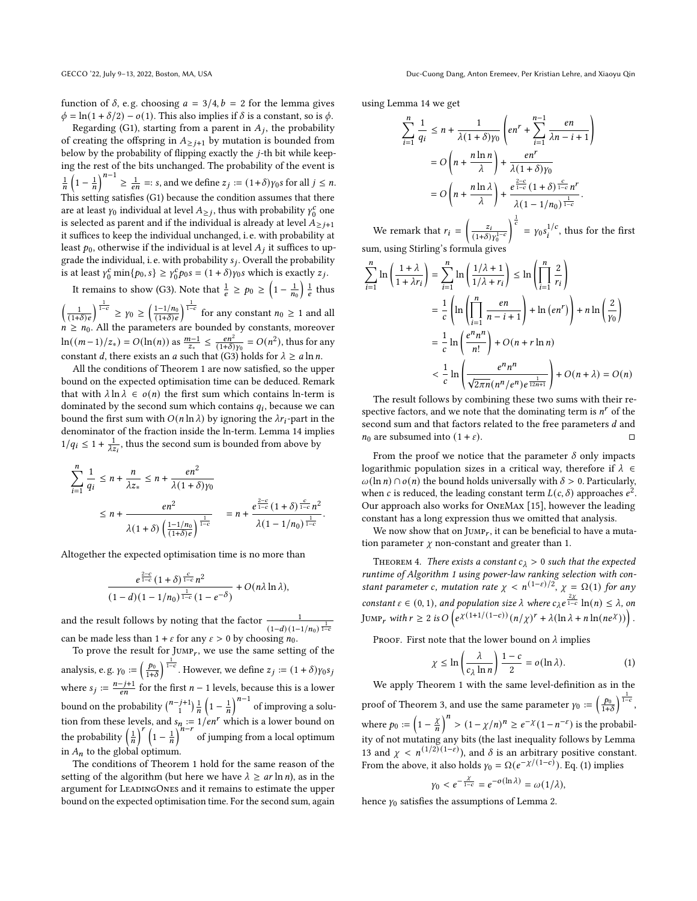function of  $\delta$ , e.g. choosing  $a = 3/4$ ,  $b = 2$  for the lemma gives  $\phi = \ln(1 + \delta/2) - o(1)$ . This also implies if  $\delta$  is a constant, so is  $\phi$ .

Regarding (G1), starting from a parent in  $A_j$ , the probability of creating the offspring in  $A_{\geq i+1}$  by mutation is bounded from below by the probability of flipping exactly the  $i$ -th bit while keeping the rest of the bits unchanged. The probability of the event is  $\frac{1}{n}\left(1-\frac{1}{n}\right)^{n-1}\geq \frac{1}{en}=:s,$  and we define  $z_j:=(1+\delta)\gamma_0s$  for all  $j\leq n$ . This setting satisfies (G1) because the condition assumes that there are at least  $\gamma_0$  individual at level  $A_{\geq j}$ , thus with probability  $\gamma_0^c$  $\frac{c}{0}$  one is selected as parent and if the individual is already at level  $A_{\geq j+1}$ it suffices to keep the individual unchanged, i. e. with probability at least  $p_0$ , otherwise if the individual is at level  $A_j$  it suffices to upgrade the individual, i.e. with probability  $s_j$ . Overall the probability is at least  $\gamma_0^c \min\{p_0, s\} \ge \gamma_0^c$  $C_0^c p_0 s = (1 + \delta) \gamma_0 s$  which is exactly  $z_j$ .

It remains to show (G3). Note that  $\frac{1}{e} \ge p_0 \ge \left(1 - \frac{1}{n_0}\right) \frac{1}{e}$  thus

 $\left(\frac{1}{(1+\delta)e}\right)^{\frac{1}{1-c}} \geq \gamma_0 \geq \left(\frac{1-1/n_0}{(1+\delta)e}\right)^{\frac{1}{1-c}}$  for any constant  $n_0 \geq 1$  and all  $n \geq n_0$ . All the parameters are bounded by constants, moreover ln( $(m-1)/z$ <sub>\*</sub>) =  $O(\ln(n))$  as  $\frac{m-1}{z_*}$  ≤  $\frac{en^2}{(1+\delta)\gamma_0}$  =  $O(n^2)$ , thus for any constant *d*, there exists an *a* such that (G3) holds for  $\lambda \ge a \ln n$ .

All the conditions of Theorem [1](#page-3-0) are now satisfied, so the upper bound on the expected optimisation time can be deduced. Remark that with  $\lambda \ln \lambda \in o(n)$  the first sum which contains ln-term is dominated by the second sum which contains  $q_i$ , because we can bound the first sum with  $O(n \ln \lambda)$  by ignoring the  $\lambda r_i$ -part in the denominator of the fraction inside the ln-term. Lemma [14](#page-8-0) implies  $1/q_i \leq 1 + \frac{1}{\lambda z_i}$ , thus the second sum is bounded from above by

$$
\sum_{i=1}^{n} \frac{1}{q_i} \le n + \frac{n}{\lambda z_*} \le n + \frac{en^2}{\lambda (1+\delta) \gamma_0}
$$
\n
$$
\le n + \frac{en^2}{\lambda (1+\delta) \left(\frac{1-1/n_0}{(1+\delta)e}\right)^{\frac{1}{1-c}}} = n + \frac{e^{\frac{2-c}{1-c}}(1+\delta)\frac{c}{1-c}n^2}{\lambda (1-1/n_0)^{\frac{1}{1-c}}}
$$

.

Altogether the expected optimisation time is no more than

$$
\frac{e^{\frac{2-c}{1-c}}(1+\delta)^{\frac{c}{1-c}}n^2}{(1-d)(1-1/n_0)^{\frac{1}{1-c}}(1-e^{-\delta})}+O(n\lambda\ln\lambda),
$$

and the result follows by noting that the factor  $\frac{1}{(1-d)(1-1/n_0)^{\frac{1}{1-c}}}$ <br>can be made less than  $1 + \varepsilon$  for any  $\varepsilon > 0$  by choosing  $n_0$ .

To prove the result for  $JUMP_r$ , we use the same setting of the analysis, e.g.  $\gamma_0 := \left(\frac{p_0}{1+\delta}\right)^{\frac{1}{1-c}}$ . However, we define  $z_j := (1+\delta)\gamma_0 s_j$ where  $s_j := \frac{n-j+1}{en}$  for the first  $n-1$  levels, because this is a lower bound on the probability  $\binom{n-j+1}{1}\frac{1}{n}\left(1-\frac{1}{n}\right)^{n-1}$  of improving a solution from these levels, and  $s_n := 1/en^r$  which is a lower bound on the probability  $\left(\frac{1}{n}\right)^{r} \left(1-\frac{1}{n}\right)^{n-r}$  of jumping from a local optimum in  $A_n$  to the global optimum.

The conditions of Theorem [1](#page-3-0) hold for the same reason of the setting of the algorithm (but here we have  $\lambda \geq ar \ln n$ ), as in the argument for LEADINGONES and it remains to estimate the upper bound on the expected optimisation time. For the second sum, again using Lemma [14](#page-8-0) we get

$$
\sum_{i=1}^{n} \frac{1}{q_i} \le n + \frac{1}{\lambda(1+\delta)\gamma_0} \left( en^r + \sum_{i=1}^{n-1} \frac{en}{\lambda n - i + 1} \right)
$$
  
=  $O\left(n + \frac{n \ln n}{\lambda}\right) + \frac{en^r}{\lambda(1+\delta)\gamma_0}$   
=  $O\left(n + \frac{n \ln \lambda}{\lambda}\right) + \frac{e^{\frac{2-c}{1-c}}(1+\delta)^{\frac{c}{1-c}} n^r}{\lambda(1-1/n_0)^{\frac{1}{1-c}}}.$ 

We remark that  $r_i = \left(\frac{z_i}{(1+s)}\right)$  $\frac{1}{(1+\delta)\gamma_0^{1-c}}$  $\int_{0}^{\frac{1}{c}} f(x) \, dx$  =  $\gamma_0 s_i^{1/c}$ , thus for the first sum, using Stirling's formula give

$$
\sum_{i=1}^{n} \ln\left(\frac{1+\lambda}{1+\lambda r_i}\right) = \sum_{i=1}^{n} \ln\left(\frac{1/\lambda+1}{1/\lambda+r_i}\right) \le \ln\left(\prod_{i=1}^{n} \frac{2}{r_i}\right)
$$

$$
= \frac{1}{c} \left(\ln\left(\prod_{i=1}^{n} \frac{en}{n-i+1}\right) + \ln\left(en^r\right)\right) + n\ln\left(\frac{2}{\gamma_0}\right)
$$

$$
= \frac{1}{c} \ln\left(\frac{e^n n^n}{n!}\right) + O(n+r\ln n)
$$

$$
< \frac{1}{c} \ln\left(\frac{e^n n^n}{\sqrt{2\pi n} (n^n/e^n)e^{\frac{1}{12n+1}}}\right) + O(n+\lambda) = O(n)
$$

The result follows by combining these two sums with their respective factors, and we note that the dominating term is  $n^r$  of the second sum and that factors related to the free parameters  $d$  and  $n_0$  are subsumed into  $(1 + \varepsilon)$ .

From the proof we notice that the parameter  $\delta$  only impacts logarithmic population sizes in a critical way, therefore if  $\lambda \in$  $\omega(\ln n) \cap o(n)$  the bound holds universally with  $\delta > 0$ . Particularly, when c is reduced, the leading constant term  $L(c, \delta)$  approaches  $e^2$ . Our approach also works for OneMax [\[15\]](#page-9-25), however the leading constant has a long expression thus we omitted that analysis.

We now show that on  $J \cup M P_r$ , it can be beneficial to have a mutation parameter  $\chi$  non-constant and greater than 1.

THEOREM 4. There exists a constant  $c_{\lambda} > 0$  such that the expected runtime of Algorithm [1](#page-2-1) using power-law ranking selection with constant parameter c, mutation rate  $\chi < n^{(1-\varepsilon)/2}$ ,  $\chi = \Omega(1)$  for any constant  $\varepsilon \in (0, 1)$ , and population size  $\lambda$  where  $c_{\lambda} e^{\frac{2\chi}{1-c}} \ln(n) \leq \lambda$ , on JUMP<sub>r</sub> with  $r \geq 2$  is  $O\left(e^{\chi(1+1/(1-c))}(n/\chi)^r + \lambda(\ln \lambda + n \ln(n e^{\chi}))\right)$ .

PROOF. First note that the lower bound on  $\lambda$  implies

<span id="page-4-0"></span>
$$
\chi \le \ln\left(\frac{\lambda}{c_{\lambda}\ln n}\right)\frac{1-c}{2} = o(\ln\lambda). \tag{1}
$$

We apply Theorem [1](#page-3-0) with the same level-definition as in the proof of Theorem [3,](#page-3-2) and use the same parameter  $\gamma_0 := \left(\frac{p_0}{1+\delta}\right)^{\frac{1}{1-c}}$ , where  $p_0 := \left(1 - \frac{\chi}{n}\right)^n > (1 - \chi/n)^n \geq e^{-\chi}(1 - n^{-\varepsilon})$  is the probability of not mutating any bits (the last inequality follows by Lemma [13](#page-8-1) and  $\chi < n^{(1/2)(1-\epsilon)}$ ), and  $\delta$  is an arbitrary positive constant. From the above, it also holds  $\gamma_0 = \Omega(e^{-\chi/(1-c)})$ . Eq. [\(1\)](#page-4-0) implies

$$
\gamma_0 < e^{-\frac{\chi}{1-c}} = e^{-o(\ln \lambda)} = \omega(1/\lambda),
$$

hence  $\gamma_0$  satisfies the assumptions of Lemma [2.](#page-3-1)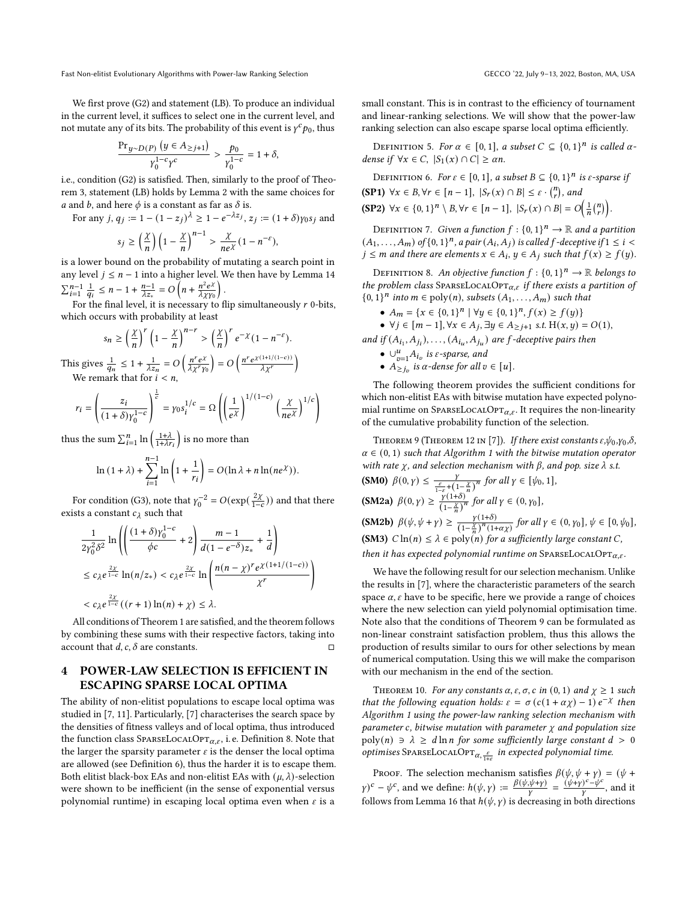Fast Non-elitist Evolutionary Algorithms with Power-law Ranking Selection GECCO '22, July 9-13, 2022, Boston, MA, USA

We first prove (G2) and statement (LB). To produce an individual in the current level, it suffices to select one in the current level, and not mutate any of its bits. The probability of this event is  $\gamma^c p_0$ , thus

$$
\frac{\operatorname{Pr}_{y\sim D(P)}\left(y\in A_{\geq j+1}\right)}{\gamma_0^{1-c}\gamma^c}>\frac{p_0}{\gamma_0^{1-c}}=1+\delta,
$$

i.e., condition (G2) is satisfied. Then, similarly to the proof of Theorem [3,](#page-3-2) statement (LB) holds by Lemma [2](#page-3-1) with the same choices for *a* and *b*, and here  $\phi$  is a constant as far as  $\delta$  is.

For any 
$$
j, q_j := 1 - (1 - z_j)^{\lambda} \ge 1 - e^{-\lambda z_j}, z_j := (1 + \delta) \gamma_0 s_j
$$
 and

$$
s_j \ge \left(\frac{\chi}{n}\right) \left(1 - \frac{\chi}{n}\right)^{n-1} > \frac{\chi}{ne^{\chi}} (1 - n^{-\varepsilon}),
$$

is a lower bound on the probability of mutating a search point in any level  $j \leq n - 1$  into a higher level. We then have by Lemma [14](#page-8-0)  $\sum_{i=1}^{n-1} \frac{1}{q_i} \leq n-1 + \frac{n-1}{\lambda z_*} = O\left(n + \frac{n^2 e^{\lambda}}{\lambda \chi_{\text{f}}(n)}\right)$  $\frac{n^2 e^{\chi}}{\lambda \chi \gamma_0}$ .

For the final level, it is necessary to flip simultaneously  $r$  0-bits, which occurs with probability at least

$$
s_n \ge \left(\frac{\chi}{n}\right)^r \left(1 - \frac{\chi}{n}\right)^{n-r} > \left(\frac{\chi}{n}\right)^r e^{-\chi} (1 - n^{-\varepsilon}).
$$

This gives  $\frac{1}{q_n} \leq 1 + \frac{1}{\lambda z_n} = O\left(\frac{n^r e^{\chi}}{\lambda \chi^r \gamma_0}\right) = O\left(\frac{n^r e^{\chi(1+1/(1-c))}}{\lambda \chi^r}\right)$ We remark that for  $i < n$ ,

$$
r_i = \left(\frac{z_i}{(1+\delta)\gamma_0^{1-c}}\right)^{\frac{1}{c}} = \gamma_0 s_i^{1/c} = \Omega \left(\left(\frac{1}{e^{\chi}}\right)^{1/(1-c)} \left(\frac{\chi}{ne^{\chi}}\right)^{1/c}\right)
$$

thus the sum  $\sum_{i=1}^{n} \ln \left( \frac{1+\lambda}{1+\lambda r_i} \right)$  is no more than

$$
\ln(1+\lambda) + \sum_{i=1}^{n-1} \ln\left(1+\frac{1}{r_i}\right) = O(\ln\lambda + n\ln(ne^{\chi})).
$$

For condition (G3), note that  $\gamma_0^{-2} = O(\exp(\frac{2\chi}{1-c}))$  and that there exists a constant  $c_{\lambda}$  such that

$$
\frac{1}{2\gamma_0^2 \delta^2} \ln \left( \left( \frac{(1+\delta)\gamma_0^{1-c}}{\phi c} + 2 \right) \frac{m-1}{d(1-e^{-\delta})z_*} + \frac{1}{d} \right)
$$
  
\n
$$
\leq c_{\lambda} e^{\frac{2\chi}{1-c}} \ln(n/z_*) < c_{\lambda} e^{\frac{2\chi}{1-c}} \ln \left( \frac{n(n-\chi)^r e^{\chi(1+1/(1-c))}}{\chi^r} \right)
$$
  
\n
$$
< c_{\lambda} e^{\frac{2\chi}{1-c}} ((r+1)\ln(n) + \chi) \leq \lambda.
$$

All conditions of Theorem [1](#page-3-0) are satisfied, and the theorem follows by combining these sums with their respective factors, taking into account that  $d, c, \delta$  are constants.  $\Box$ 

# 4 POWER-LAW SELECTION IS EFFICIENT IN ESCAPING SPARSE LOCAL OPTIMA

The ability of non-elitist populations to escape local optima was studied in [\[7,](#page-9-6) [11\]](#page-9-13). Particularly, [\[7\]](#page-9-6) characterises the search space by the densities of fitness valleys and of local optima, thus introduced the function class SPARSELOCALOPT<sub> $\alpha, \varepsilon$ </sub>, i.e. Definition [8.](#page-5-0) Note that the larger the sparsity parameter  $\varepsilon$  is the denser the local optima are allowed (see Definition [6\)](#page-5-1), thus the harder it is to escape them. Both elitist black-box EAs and non-elitist EAs with  $(\mu, \lambda)$ -selection were shown to be inefficient (in the sense of exponential versus polynomial runtime) in escaping local optima even when  $\varepsilon$  is a

small constant. This is in contrast to the efficiency of tournament and linear-ranking selections. We will show that the power-law ranking selection can also escape sparse local optima efficiently.

DEFINITION 5. For  $\alpha \in [0,1]$ , a subset  $C \subseteq \{0,1\}^n$  is called  $\alpha$ dense if  $\forall x \in C$ ,  $|S_1(x) \cap C| \ge \alpha n$ .

<span id="page-5-1"></span>DEFINITION 6. For  $\varepsilon \in [0,1]$ , a subset  $B \subseteq \{0,1\}^n$  is  $\varepsilon$ -sparse if  $(SP1) \ \forall x \in B, \forall r \in [n-1], \ |S_r(x) \cap B| \leq \varepsilon \cdot {n \choose r},$  and  $(\text{SP2}) \ \forall x \in \{0, 1\}^n \setminus B, \forall r \in [n-1], \ |S_r(x) \cap B| = O\left(\frac{1}{n} {n \choose r}\right).$ 

DEFINITION 7. Given a function  $f : \{0,1\}^n \to \mathbb{R}$  and a partition  $(A_1, \ldots, A_m)$  of  $\{0, 1\}^n$ , a pair  $(A_i, A_j)$  is called  $f$ -deceptive if  $1 \leq i <$  $j \leq m$  and there are elements  $x \in A_i$ ,  $y \in A_j$  such that  $f(x) \geq f(y)$ .

<span id="page-5-0"></span>DEFINITION 8. An objective function  $f: \{0,1\}^n \to \mathbb{R}$  belongs to the problem class SPARSELOCALOPT $_{\alpha,\varepsilon}$  if there exists a partition of  ${1 \choose 0, 1}^n$  into  $m \in \text{poly}(n)$ , subsets  $(A_1, \ldots, A_m)$  such that

- $A_m = \{x \in \{0, 1\}^n \mid \forall y \in \{0, 1\}^n, f(x) \ge f(y)\}\$
- $\forall j \in [m-1], \forall x \in A_j, \exists y \in A_{\geq j+1} \text{ s.t. } H(x, y) = O(1),$

and if  $(A_{i_1}, A_{j_i}), \ldots, (A_{i_u}, A_{j_u})$  are f-deceptive pairs then

- $\cup_{v=1}^{u} A_{i_v}$  is  $\varepsilon$ -sparse, and
- $A_{\ge j_v}$  is  $\alpha$ -dense for all  $v \in [u]$ .

The following theorem provides the sufficient conditions for which non-elitist EAs with bitwise mutation have expected polynomial runtime on SPARSELOCALOPT $_{\alpha,\varepsilon}$ . It requires the non-linearity of the cumulative probability function of the selection.

<span id="page-5-2"></span>THEOREM 9 (THEOREM 12 IN [\[7\]](#page-9-6)). If there exist constants  $\varepsilon, \psi_0, \gamma_0, \delta$ ,  $\alpha \in (0, 1)$  $\alpha \in (0, 1)$  $\alpha \in (0, 1)$  such that Algorithm 1 with the bitwise mutation operator with rate  $\chi$ , and selection mechanism with  $\beta$ , and pop. size  $\lambda$  s.t.

(SMO) 
$$
\beta(0, \gamma) \leq \frac{\gamma}{\frac{\varepsilon}{1-\varepsilon} + (1-\frac{\chi}{n})^n}
$$
 for all  $\gamma \in [\psi_0, 1]$ ,

\n(SM2a)  $\beta(0, \gamma) \geq \frac{\gamma(1+\delta)}{(1-\frac{\chi}{n})^n}$  for all  $\gamma \in (0, \gamma_0]$ ,

\n(SM2b)  $\beta(\psi, \psi + \gamma) \geq \frac{\gamma(1+\delta)}{(1-\frac{\chi}{n})^n(1+\alpha\chi)}$  for all  $\gamma \in (0, \gamma_0], \psi \in [0, \psi_0]$ ,

\n(SM3)  $C \ln(n) \leq \lambda \in \text{poly}(n)$  for a sufficiently large constant  $C$ , then it has expected polynomial runtime on SPARSELocalOPT <sub>$\alpha, \varepsilon$</sub> .

We have the following result for our selection mechanism. Unlike the results in [\[7\]](#page-9-6), where the characteristic parameters of the search space  $\alpha$ ,  $\varepsilon$  have to be specific, here we provide a range of choices where the new selection can yield polynomial optimisation time. Note also that the conditions of Theorem [9](#page-5-2) can be formulated as non-linear constraint satisfaction problem, thus this allows the production of results similar to ours for other selections by mean of numerical computation. Using this we will make the comparison with our mechanism in the end of the section.

<span id="page-5-3"></span>THEOREM 10. For any constants  $\alpha$ ,  $\varepsilon$ ,  $\sigma$ ,  $c$  in  $(0, 1)$  and  $\chi \ge 1$  such that the following equation holds:  $\varepsilon = \sigma(c(1 + \alpha \chi) - 1)e^{-\chi}$  then Algorithm [1](#page-2-1) using the power-law ranking selection mechanism with parameter  $c$ , bitwise mutation with parameter  $\chi$  and population size  $poly(n) \ni \lambda \geq d \ln n$  for some sufficiently large constant  $d > 0$ optimises  $\textsc{SparseLocalOPT}_{\alpha,\frac{\varepsilon}{1+\varepsilon}}$  in expected polynomial time.

PROOF. The selection mechanism satisfies  $\beta(\psi, \psi + \gamma) = (\psi +$  $\gamma$ )<sup>c</sup> –  $\psi^c$ , and we define:  $h(\psi, \gamma) := \frac{\beta(\psi, \psi + \gamma)}{\gamma} = \frac{(\psi + \gamma)^c - \psi^c}{\gamma}$  $\frac{\partial^2 \psi}{\partial y}$ , and it follows from Lemma [16](#page-8-2) that  $h(\psi, \gamma)$  is decreasing in both directions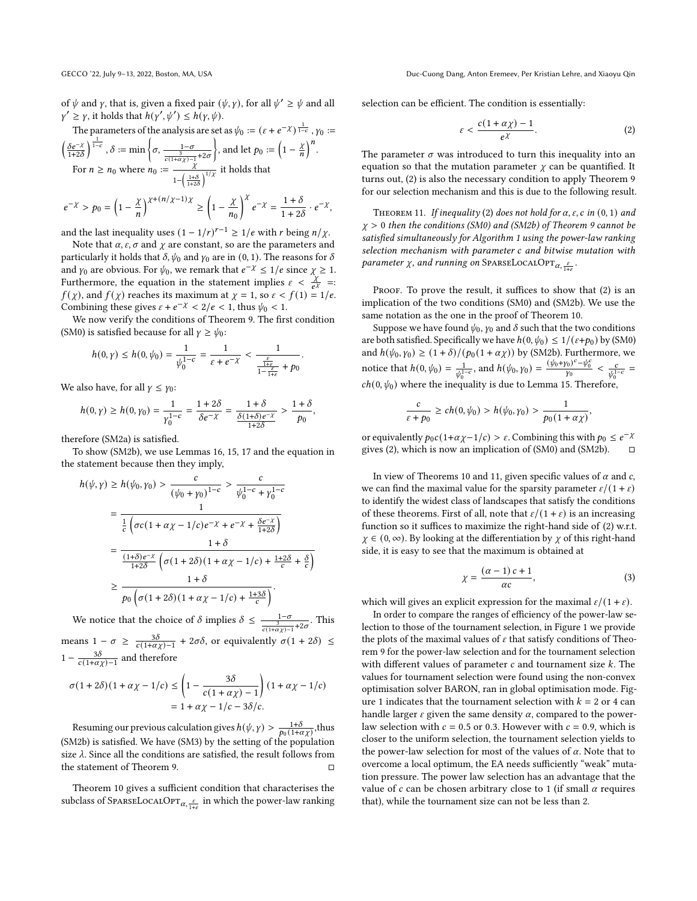of  $\psi$  and  $\gamma$ , that is, given a fixed pair  $(\psi, \gamma)$ , for all  $\psi' \ge \psi$  and all  $\gamma' \geq \gamma$ , it holds that  $h(\gamma', \psi') \leq h(\gamma, \psi)$ .

The parameters of the analysis are set as 
$$
\psi_0 := (\varepsilon + e^{-\chi})^{\frac{1}{1-c}}
$$
,  $\gamma_0 :=$   
 $\left(\frac{\delta e^{-\chi}}{1+2\delta}\right)^{\frac{1}{1-c}}$ ,  $\delta := \min\left\{\sigma, \frac{1-\sigma}{\frac{1}{c(1+\alpha\chi)-1}+2\sigma}\right\}$ , and let  $p_0 := \left(1 - \frac{\chi}{n}\right)^n$ .  
For  $n \ge n_0$  where  $n_0 := \frac{\chi}{1-\left(\frac{1+\delta}{1+2\delta}\right)^{1/\chi}}$  it holds that

$$
e^{-\chi} > p_0 = \left(1 - \frac{\chi}{n}\right)^{\chi + (n/\chi - 1)\chi} \ge \left(1 - \frac{\chi}{n_0}\right)^{\chi} e^{-\chi} = \frac{1 + \delta}{1 + 2\delta} \cdot e^{-\chi}
$$

,

and the last inequality uses  $(1 - 1/r)^{r-1} \ge 1/e$  with r being  $n/\chi$ .

Note that  $\alpha$ ,  $\varepsilon$ ,  $\sigma$  and  $\chi$  are constant, so are the parameters and particularly it holds that  $\delta, \psi_0$  and  $\gamma_0$  are in (0, 1). The reasons for  $\delta$ and  $\gamma_0$  are obvious. For  $\psi_0$ , we remark that  $e^{-\chi} \leq 1/e$  since  $\chi \geq 1$ . Furthermore, the equation in the statement implies  $\varepsilon < \frac{\chi}{\epsilon \chi} =$ :  $f(\chi)$ , and  $f(\chi)$  reaches its maximum at  $\chi = 1$ , so  $\varepsilon < f(1) = 1/e$ . Combining these gives  $\varepsilon + e^{-\chi} < 2/e < 1$ , thus  $\psi_0 < 1$ .

We now verify the conditions of Theorem [9.](#page-5-2) The first condition (SM0) is satisfied because for all  $\gamma \geq \psi_0$ :

$$
h(0,\gamma) \leq h(0,\psi_0) = \frac{1}{\psi_0^{1-c}} = \frac{1}{\varepsilon + e^{-\chi}} < \frac{1}{\frac{\frac{\varepsilon}{1+c}}{1-\frac{\varepsilon}{1+c}} + p_0}.
$$

We also have, for all  $\gamma \leq \gamma_0$ :

$$
h(0,\gamma)\geq h(0,\gamma_0)=\frac{1}{\gamma_0^{1-c}}=\frac{1+2\delta}{\delta e^{-\chi}}=\frac{1+\delta}{\frac{\delta(1+\delta)e^{-\chi}}{1+2\delta}}>\frac{1+\delta}{p_0},
$$

therefore (SM2a) is satisfied.

To show (SM2b), we use Lemmas [16,](#page-8-2) [15,](#page-8-3) [17](#page-8-4) and the equation in the statement because then they imply,

$$
h(\psi, \gamma) \ge h(\psi_0, \gamma_0) > \frac{c}{(\psi_0 + \gamma_0)^{1-c}} > \frac{c}{\psi_0^{1-c} + \gamma_0^{1-c}}
$$
  
= 
$$
\frac{1}{\frac{1}{c} \left( \sigma c (1 + \alpha \chi - 1/c) e^{-\chi} + e^{-\chi} + \frac{\delta e^{-\chi}}{1+2\delta} \right)}
$$
  
= 
$$
\frac{1+\delta}{\frac{(1+\delta)e^{-\chi}}{1+2\delta} \left( \sigma (1+2\delta)(1 + \alpha \chi - 1/c) + \frac{1+2\delta}{c} + \frac{\delta}{c} \right)}
$$
  

$$
\ge \frac{1+\delta}{p_0 \left( \sigma (1+2\delta)(1 + \alpha \chi - 1/c) + \frac{1+3\delta}{c} \right)}.
$$

We notice that the choice of  $\delta$  implies  $\delta \leq \frac{1-\sigma}{\frac{\sigma}{c(1+\alpha\chi)-1}+2\sigma}$ . This means  $1 - \sigma \ge \frac{3\delta}{c(1+\alpha\chi)-1} + 2\sigma\delta$ , or equivalently  $\sigma(1+2\delta) \le$  $1 - \frac{3\delta}{c(1+\alpha\chi)-1}$  and therefore

$$
\sigma(1+2\delta)(1+\alpha\chi-1/c) \le \left(1-\frac{3\delta}{c(1+\alpha\chi)-1}\right)(1+\alpha\chi-1/c)
$$
  
= 1 + \alpha\chi-1/c - 3\delta/c.

Resuming our previous calculation gives  $h(\psi, \gamma) > \frac{1+\delta}{p_0(1+\alpha\chi)}$ , thus (SM2b) is satisfied. We have (SM3) by the setting of the population size  $\lambda$ . Since all the conditions are satisfied, the result follows from the statement of Theorem [9.](#page-5-2) □

Theorem [10](#page-5-3) gives a sufficient condition that characterises the subclass of SparseLocalOp $\tau_{\alpha,\frac{\varepsilon}{1+\varepsilon}}$  in which the power-law ranking selection can be efficient. The condition is essentially:

<span id="page-6-0"></span>
$$
\varepsilon < \frac{c(1 + \alpha \chi) - 1}{e^{\chi}}.\tag{2}
$$

The parameter  $\sigma$  was introduced to turn this inequality into an equation so that the mutation parameter  $\chi$  can be quantified. It turns out, [\(2\)](#page-6-0) is also the necessary condition to apply Theorem [9](#page-5-2) for our selection mechanism and this is due to the following result.

<span id="page-6-1"></span>THEOREM 11. If inequality [\(2\)](#page-6-0) does not hold for  $\alpha$ ,  $\varepsilon$ ,  $c$  in (0, 1) and  $\chi > 0$  then the conditions (SM0) and (SM2b) of Theorem [9](#page-5-2) cannot be satisfied simultaneously for Algorithm [1](#page-2-1) using the power-law ranking selection mechanism with parameter c and bitwise mutation with parameter  $\chi$ , and running on SparseLocalOp $\tau_{\alpha,\frac{\varepsilon}{1+\varepsilon}}$ .

PROOF. To prove the result, it suffices to show that [\(2\)](#page-6-0) is an implication of the two conditions (SM0) and (SM2b). We use the same notation as the one in the proof of Theorem [10.](#page-5-3)

Suppose we have found  $\psi_0$ ,  $\gamma_0$  and  $\delta$  such that the two conditions are both satisfied. Specifically we have  $h(0, \psi_0) \leq 1/(\varepsilon + p_0)$  by (SM0) and  $h(\psi_0, \gamma_0) \ge (1 + \delta) / (p_0(1 + \alpha \chi))$  by (SM2b). Furthermore, we notice that  $h(0, \psi_0) = \frac{1}{\psi_0^{1-c}}$ , and  $h(\psi_0, \gamma_0) = \frac{(\psi_0 + \gamma_0)^c - \psi_0^c}{\gamma_0} < \frac{c}{\psi_0^{1-c}} =$  $ch(0, \psi_0)$  where the inequality is due to Lemma [15.](#page-8-3) Therefore,

$$
\frac{c}{\varepsilon+p_0} \ge ch(0,\psi_0) > h(\psi_0,\gamma_0) > \frac{1}{p_0(1+\alpha\chi)},
$$

or equivalently  $p_0 c (1 + \alpha \chi - 1/c) > \varepsilon$ . Combining this with  $p_0 \le e^{-\chi}$ gives [\(2\)](#page-6-0), which is now an implication of (SM0) and (SM2b).  $\Box$ 

In view of Theorems [10](#page-5-3) and [11,](#page-6-1) given specific values of  $\alpha$  and  $c$ , we can find the maximal value for the sparsity parameter  $\varepsilon/(1 + \varepsilon)$ to identify the widest class of landscapes that satisfy the conditions of these theorems. First of all, note that  $\varepsilon/(1 + \varepsilon)$  is an increasing function so it suffices to maximize the right-hand side of [\(2\)](#page-6-0) w.r.t.  $\chi \in (0, \infty)$ . By looking at the differentiation by  $\chi$  of this right-hand side, it is easy to see that the maximum is obtained at

$$
\chi = \frac{(\alpha - 1) c + 1}{\alpha c},\tag{3}
$$

which will gives an explicit expression for the maximal  $\varepsilon/(1 + \varepsilon)$ .

In order to compare the ranges of efficiency of the power-law selection to those of the tournament selection, in Figure [1](#page-7-0) we provide the plots of the maximal values of  $\varepsilon$  that satisfy conditions of Theorem [9](#page-5-2) for the power-law selection and for the tournament selection with different values of parameter  $c$  and tournament size  $k$ . The values for tournament selection were found using the non-convex optimisation solver BARON, ran in global optimisation mode. Fig-ure [1](#page-7-0) indicates that the tournament selection with  $k = 2$  or 4 can handle larger  $\varepsilon$  given the same density  $\alpha$ , compared to the powerlaw selection with  $c = 0.5$  or 0.3. However with  $c = 0.9$ , which is closer to the uniform selection, the tournament selection yields to the power-law selection for most of the values of  $\alpha$ . Note that to overcome a local optimum, the EA needs sufficiently "weak" mutation pressure. The power law selection has an advantage that the value of  $c$  can be chosen arbitrary close to 1 (if small  $\alpha$  requires that), while the tournament size can not be less than 2.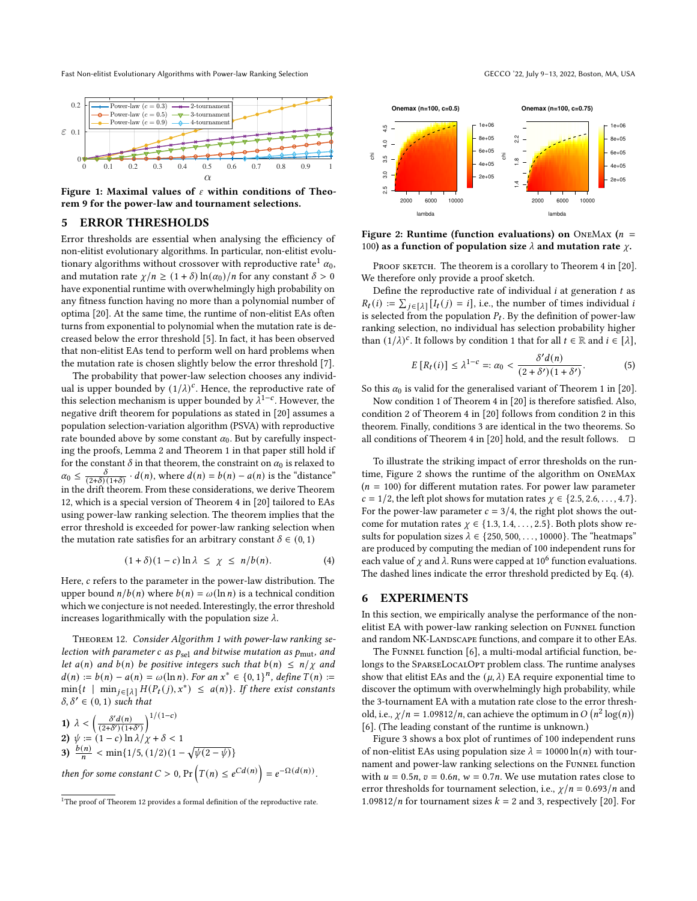Fast Non-elitist Evolutionary Algorithms with Power-law Ranking Selection GECCO '22, July 9-13, 2022, Boston, MA, USA

<span id="page-7-0"></span>

Figure 1: Maximal values of  $\varepsilon$  within conditions of Theorem [9](#page-5-2) for the power-law and tournament selections.

## 5 ERROR THRESHOLDS

Error thresholds are essential when analysing the efficiency of non-elitist evolutionary algorithms. In particular, non-elitist evolu-tionary algorithms without crossover with reproductive rate<sup>[1](#page-7-1)</sup>  $\alpha_0$ , and mutation rate  $\chi/n \ge (1+\delta) \ln(\alpha_0)/n$  for any constant  $\delta > 0$ have exponential runtime with overwhelmingly high probability on any fitness function having no more than a polynomial number of optima [\[20\]](#page-9-7). At the same time, the runtime of non-elitist EAs often turns from exponential to polynomial when the mutation rate is decreased below the error threshold [\[5\]](#page-9-15). In fact, it has been observed that non-elitist EAs tend to perform well on hard problems when the mutation rate is chosen slightly below the error threshold [\[7\]](#page-9-6).

The probability that power-law selection chooses any individual is upper bounded by  $(1/\lambda)^c$ . Hence, the reproductive rate of this selection mechanism is upper bounded by  $\lambda^{1-c}$ . However, the negative drift theorem for populations as stated in [\[20\]](#page-9-7) assumes a population selection-variation algorithm (PSVA) with reproductive rate bounded above by some constant  $\alpha_0$ . But by carefully inspecting the proofs, Lemma 2 and Theorem 1 in that paper still hold if for the constant  $\delta$  in that theorem, the constraint on  $\alpha_0$  is relaxed to  $\alpha_0 \leq$  $\frac{\delta}{(2+\delta)(1+\delta)} \cdot d(n)$ , where  $d(n) = b(n) - a(n)$  is the "distance" in the drift theorem. From these considerations, we derive Theorem [12,](#page-7-2) which is a special version of Theorem 4 in [\[20\]](#page-9-7) tailored to EAs using power-law ranking selection. The theorem implies that the error threshold is exceeded for power-law ranking selection when the mutation rate satisfies for an arbitrary constant  $\delta \in (0, 1)$ 

$$
(1+\delta)(1-c)\ln\lambda \leq \chi \leq n/b(n). \tag{4}
$$

Here,  $c$  refers to the parameter in the power-law distribution. The upper bound  $n/b(n)$  where  $b(n) = \omega(\ln n)$  is a technical condition which we conjecture is not needed. Interestingly, the error threshold increases logarithmically with the population size  $\lambda$ .

<span id="page-7-2"></span>Theorem 12. Consider Algorithm [1](#page-2-1) with power-law ranking selection with parameter c as  $p_{\text{sel}}$  and bitwise mutation as  $p_{\text{mut}}$ , and let  $a(n)$  and  $b(n)$  be positive integers such that  $b(n) \leq n/\chi$  and  $d(n) := b(n) - a(n) = \omega(\ln n)$ . For an  $x^* \in \{0, 1\}^n$ , define  $T(n) :=$  $\min\{t \mid \min_{j\in[\lambda]} H(P_t(j), x^*) \leq a(n)\}.$  If there exist constants  $\delta, \delta' \in (0, 1)$  such that

1) 
$$
\lambda < \left(\frac{\delta'd(n)}{(2+\delta')\,(1+\delta')}\right)^{1/(1-c)}
$$
  
\n2) 
$$
\psi := (1-c)\ln\lambda/\chi + \delta < 1
$$
  
\n3) 
$$
\frac{b(n)}{n} < \min\{1/5, (1/2)(1-\sqrt{\psi(2-\psi)})\}
$$
  
\nthen for some constant  $C > 0$ , Pr
$$
\left(T(n) \leq e^{Cd(n)}\right) = e^{-\Omega(d(n))}.
$$

<span id="page-7-3"></span>

Figure 2: Runtime (function evaluations) on ONEMAX ( $n =$ 100) as a function of population size  $\lambda$  and mutation rate  $\chi$ .

PROOF SKETCH. The theorem is a corollary to Theorem 4 in [\[20\]](#page-9-7). We therefore only provide a proof sketch.

Define the reproductive rate of individual  $i$  at generation  $t$  as  $R_t(i) := \sum_{j \in [\lambda]} [I_t(j) = i]$ , i.e., the number of times individual *i* is selected from the population  $P_t$ . By the definition of power-law ranking selection, no individual has selection probability higher than  $(1/\lambda)^c$ . It follows by condition 1 that for all  $t \in \mathbb{R}$  and  $i \in [\lambda]$ ,

$$
E\left[R_t(i)\right] \le \lambda^{1-c} =: \alpha_0 < \frac{\delta' d(n)}{(2+\delta')(1+\delta')}.\tag{5}
$$

So this  $\alpha_0$  is valid for the generalised variant of Theorem 1 in [\[20\]](#page-9-7).

Now condition 1 of Theorem 4 in [\[20\]](#page-9-7) is therefore satisfied. Also, condition 2 of Theorem 4 in [\[20\]](#page-9-7) follows from condition 2 in this theorem. Finally, conditions 3 are identical in the two theorems. So all conditions of Theorem 4 in [\[20\]](#page-9-7) hold, and the result follows.  $\Box$ 

To illustrate the striking impact of error thresholds on the runtime, Figure [2](#page-7-3) shows the runtime of the algorithm on OneMax  $(n = 100)$  for different mutation rates. For power law parameter  $c = 1/2$ , the left plot shows for mutation rates  $\gamma \in \{2.5, 2.6, \ldots, 4.7\}$ . For the power-law parameter  $c = 3/4$ , the right plot shows the outcome for mutation rates  $\chi \in \{1.3, 1.4, \ldots, 2.5\}$ . Both plots show results for population sizes  $\lambda \in \{250, 500, \ldots, 10000\}$ . The "heatmaps" are produced by computing the median of 100 independent runs for each value of  $\chi$  and  $\lambda$ . Runs were capped at 10<sup>6</sup> function evaluations. The dashed lines indicate the error threshold predicted by Eq. [\(4\)](#page-7-4).

# <span id="page-7-4"></span>6 EXPERIMENTS

In this section, we empirically analyse the performance of the nonelitist EA with power-law ranking selection on Funnel function and random NK-LANDSCAPE functions, and compare it to other EAs.

The Funnel function [\[6\]](#page-9-5), a multi-modal artificial function, belongs to the SPARSELOCALOPT problem class. The runtime analyses show that elitist EAs and the  $(\mu, \lambda)$  EA require exponential time to discover the optimum with overwhelmingly high probability, while the 3-tournament EA with a mutation rate close to the error threshold, i.e.,  $\chi/n = 1.09812/n$ , can achieve the optimum in  $O(n^2 \log(n))$ [\[6\]](#page-9-5). (The leading constant of the runtime is unknown.)

Figure [3](#page-8-5) shows a box plot of runtimes of 100 independent runs of non-elitist EAs using population size  $\lambda = 10000 \ln(n)$  with tournament and power-law ranking selections on the FUNNEL function with  $u = 0.5n$ ,  $v = 0.6n$ ,  $w = 0.7n$ . We use mutation rates close to error thresholds for tournament selection, i.e.,  $\chi/n = 0.693/n$  and 1.09812/*n* for tournament sizes  $k = 2$  and 3, respectively [\[20\]](#page-9-7). For

<span id="page-7-1"></span><sup>&</sup>lt;sup>1</sup>The proof of Theorem [12](#page-7-2) provides a formal definition of the reproductive rate.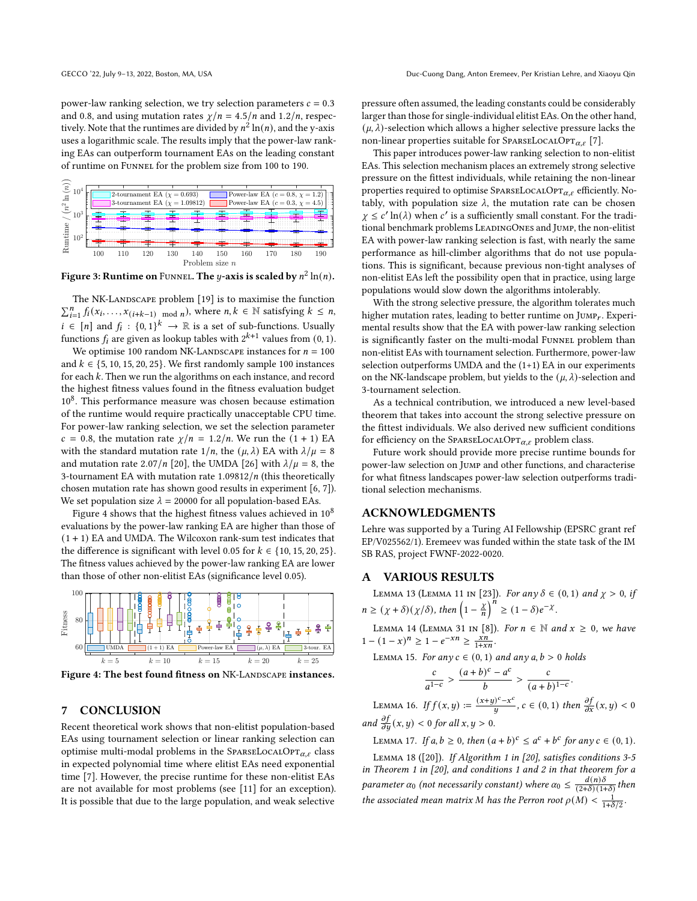power-law ranking selection, we try selection parameters  $c = 0.3$ and 0.8, and using mutation rates  $\chi/n = 4.5/n$  and 1.2/n, respectively. Note that the runtimes are divided by  $n^2 \ln(n)$ , and the y-axis uses a logarithmic scale. The results imply that the power-law ranking EAs can outperform tournament EAs on the leading constant of runtime on Funnel for the problem size from 100 to 190.

<span id="page-8-5"></span>

Figure 3: Runtime on <code>Funne</code>L. The  $y$ -axis is scaled by  $n^2\ln(n)$ .

The NK-LANDSCAPE problem [\[19\]](#page-9-9) is to maximise the function  $\sum_{i=1}^{n} f_i(x_i, \ldots, x_{(i+k-1)}]$  mod *n*), where  $n, k \in \mathbb{N}$  satisfying  $k \leq n$ ,  $i \in [n]$  and  $f_i : \{0, 1\}^k \to \mathbb{R}$  is a set of sub-functions. Usually functions  $f_i$  are given as lookup tables with  $2^{k+1}$  values from  $(0, 1)$ .

We optimise 100 random NK-LANDSCAPE instances for  $n = 100$ and  $k \in \{5, 10, 15, 20, 25\}$ . We first randomly sample 100 instances for each  $k$ . Then we run the algorithms on each instance, and record the highest fitness values found in the fitness evaluation budget 10<sup>8</sup>. This performance measure was chosen because estimation of the runtime would require practically unacceptable CPU time. For power-law ranking selection, we set the selection parameter  $c = 0.8$ , the mutation rate  $\chi/n = 1.2/n$ . We run the  $(1 + 1)$  EA with the standard mutation rate  $1/n$ , the  $(\mu, \lambda)$  EA with  $\lambda/\mu = 8$ and mutation rate 2.07/n [\[20\]](#page-9-7), the UMDA [\[26\]](#page-9-26) with  $\lambda/\mu = 8$ , the 3-tournament EA with mutation rate  $1.09812/n$  (this theoretically chosen mutation rate has shown good results in experiment [\[6,](#page-9-5) [7\]](#page-9-6)). We set population size  $\lambda = 20000$  for all population-based EAs.

Figure [4](#page-8-6) shows that the highest fitness values achieved in  $10^8$ evaluations by the power-law ranking EA are higher than those of  $(1 + 1)$  EA and UMDA. The Wilcoxon rank-sum test indicates that the difference is significant with level 0.05 for  $k \in \{10, 15, 20, 25\}$ . The fitness values achieved by the power-law ranking EA are lower than those of other non-elitist EAs (significance level 0.05).

<span id="page-8-6"></span>

Figure 4: The best found fitness on NK-LANDSCAPE instances.

# 7 CONCLUSION

Recent theoretical work shows that non-elitist population-based EAs using tournament selection or linear ranking selection can optimise multi-modal problems in the SPARSELOCALOPT $_{\alpha,\varepsilon}$  class in expected polynomial time where elitist EAs need exponential time [\[7\]](#page-9-6). However, the precise runtime for these non-elitist EAs are not available for most problems (see [\[11\]](#page-9-13) for an exception). It is possible that due to the large population, and weak selective pressure often assumed, the leading constants could be considerably larger than those for single-individual elitist EAs. On the other hand,  $(\mu, \lambda)$ -selection which allows a higher selective pressure lacks the non-linear properties suitable for SPARSELOCALOPT<sub> $\alpha$  (7)</sub>.

This paper introduces power-law ranking selection to non-elitist EAs. This selection mechanism places an extremely strong selective pressure on the fittest individuals, while retaining the non-linear properties required to optimise SPARSELOCALOPT $_{\alpha,\varepsilon}$  efficiently. Notably, with population size  $\lambda$ , the mutation rate can be chosen  $\chi \leq c' \ln(\lambda)$  when c' is a sufficiently small constant. For the traditional benchmark problems LEADINGONES and JUMP, the non-elitist EA with power-law ranking selection is fast, with nearly the same performance as hill-climber algorithms that do not use populations. This is significant, because previous non-tight analyses of non-elitist EAs left the possibility open that in practice, using large populations would slow down the algorithms intolerably.

With the strong selective pressure, the algorithm tolerates much higher mutation rates, leading to better runtime on JUMP<sub>r</sub>. Experimental results show that the EA with power-law ranking selection is significantly faster on the multi-modal FUNNEL problem than non-elitist EAs with tournament selection. Furthermore, power-law selection outperforms UMDA and the (1+1) EA in our experiments on the NK-landscape problem, but yields to the  $(\mu, \lambda)$ -selection and 3-tournament selection.

As a technical contribution, we introduced a new level-based theorem that takes into account the strong selective pressure on the fittest individuals. We also derived new sufficient conditions for efficiency on the SPARSELOCALOPT $_{\alpha,\varepsilon}$  problem class.

Future work should provide more precise runtime bounds for power-law selection on Jump and other functions, and characterise for what fitness landscapes power-law selection outperforms traditional selection mechanisms.

#### ACKNOWLEDGMENTS

Lehre was supported by a Turing AI Fellowship (EPSRC grant ref EP/V025562/1). Eremeev was funded within the state task of the IM SB RAS, project FWNF-2022-0020.

## A VARIOUS RESULTS

<span id="page-8-1"></span>LEMMA 13 (LEMMA 11 IN [\[23\]](#page-9-27)). For any  $\delta \in (0, 1)$  and  $\chi > 0$ , if  $n \geq (\chi + \delta)(\chi/\delta)$ , then  $\left(1 - \frac{\chi}{h}\right)^n \geq (1 - \delta)e^{-\chi}.$ 

<span id="page-8-0"></span>LEMMA 14 (LEMMA 31 IN [\[8\]](#page-9-12)). For  $n \in \mathbb{N}$  and  $x \ge 0$ , we have  $1 - (1 - x)^n \geq 1 - e^{-x} \geq \frac{x}{1 + x}$ 

<span id="page-8-3"></span>LEMMA 15. For any  $c \in (0, 1)$  and any  $a, b > 0$  holds

<span id="page-8-2"></span>
$$
\frac{c}{a^{1-c}} > \frac{(a+b)^c - a^c}{b} > \frac{c}{(a+b)^{1-c}}.
$$
  
LEMMA 16. If  $f(x, y) := \frac{(x+y)^c - x^c}{y}$ ,  $c \in (0, 1)$  then  $\frac{\partial f}{\partial x}(x, y) < 0$   
and  $\frac{\partial f}{\partial y}(x, y) < 0$  for all  $x, y > 0$ .

<span id="page-8-4"></span>LEMMA 17. If  $a, b \ge 0$ , then  $(a + b)^c \le a^c + b^c$  for any  $c \in (0, 1)$ .

Lemma 18 ([\[20\]](#page-9-7)). If Algorithm 1 in [\[20\]](#page-9-7), satisfies conditions 3-5 in Theorem 1 in [\[20\]](#page-9-7), and conditions 1 and 2 in that theorem for a parameter  $\alpha_0$  (not necessarily constant) where  $\alpha_0 \leq \frac{d(n)\delta}{(2+\delta)(1-\delta)}$  $\frac{u(n)\sigma}{(2+\delta)(1+\delta)}$  then the associated mean matrix M has the Perron root  $\rho(M) < \frac{1}{1+\delta/2}$ .